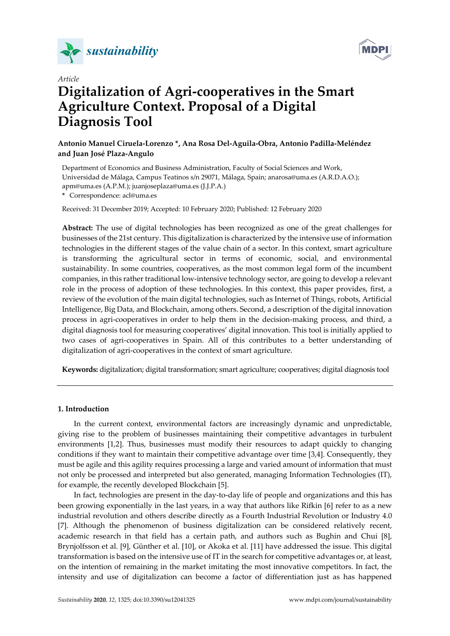



# *Article* **Digitalization of Agri‐cooperatives in the Smart Agriculture Context. Proposal of a Digital Diagnosis Tool**

# **Antonio Manuel Ciruela‐Lorenzo \*, Ana Rosa Del‐Aguila‐Obra, Antonio Padilla‐Meléndez and Juan José Plaza‐Angulo**

Department of Economics and Business Administration, Faculty of Social Sciences and Work, Universidad de Málaga, Campus Teatinos s/n 29071, Málaga, Spain; anarosa@uma.es (A.R.D.A.O.); apm@uma.es (A.P.M.); juanjoseplaza@uma.es (J.J.P.A.)

**\*** Correspondence: acl@uma.es

Received: 31 December 2019; Accepted: 10 February 2020; Published: 12 February 2020

**Abstract:** The use of digital technologies has been recognized as one of the great challenges for businesses of the 21st century. This digitalization is characterized by the intensive use of information technologies in the different stages of the value chain of a sector. In this context, smart agriculture is transforming the agricultural sector in terms of economic, social, and environmental sustainability. In some countries, cooperatives, as the most common legal form of the incumbent companies, in this rather traditional low‐intensive technology sector, are going to develop a relevant role in the process of adoption of these technologies. In this context, this paper provides, first, a review of the evolution of the main digital technologies, such as Internet of Things, robots, Artificial Intelligence, Big Data, and Blockchain, among others. Second, a description of the digital innovation process in agri‐cooperatives in order to help them in the decision‐making process, and third, a digital diagnosis tool for measuring cooperatives' digital innovation. This tool is initially applied to two cases of agri‐cooperatives in Spain. All of this contributes to a better understanding of digitalization of agri‐cooperatives in the context of smart agriculture.

**Keywords:** digitalization; digital transformation; smart agriculture; cooperatives; digital diagnosis tool

## **1. Introduction**

In the current context, environmental factors are increasingly dynamic and unpredictable, giving rise to the problem of businesses maintaining their competitive advantages in turbulent environments [1,2]. Thus, businesses must modify their resources to adapt quickly to changing conditions if they want to maintain their competitive advantage over time [3,4]. Consequently, they must be agile and this agility requires processing a large and varied amount of information that must not only be processed and interpreted but also generated, managing Information Technologies (IT), for example, the recently developed Blockchain [5].

In fact, technologies are present in the day-to-day life of people and organizations and this has been growing exponentially in the last years, in a way that authors like Rifkin [6] refer to as a new industrial revolution and others describe directly as a Fourth Industrial Revolution or Industry 4.0 [7]. Although the phenomenon of business digitalization can be considered relatively recent, academic research in that field has a certain path, and authors such as Bughin and Chui [8], Brynjolfsson et al. [9], Günther et al. [10], or Akoka et al. [11] have addressed the issue. This digital transformation is based on the intensive use of IT in the search for competitive advantages or, at least, on the intention of remaining in the market imitating the most innovative competitors. In fact, the intensity and use of digitalization can become a factor of differentiation just as has happened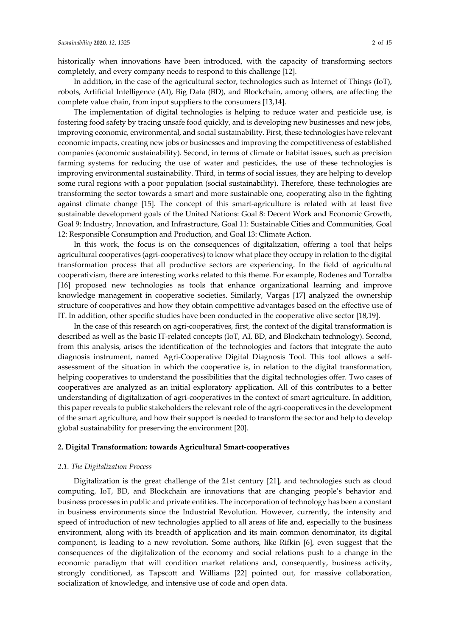historically when innovations have been introduced, with the capacity of transforming sectors completely, and every company needs to respond to this challenge [12].

In addition, in the case of the agricultural sector, technologies such as Internet of Things (IoT), robots, Artificial Intelligence (AI), Big Data (BD), and Blockchain, among others, are affecting the complete value chain, from input suppliers to the consumers [13,14].

The implementation of digital technologies is helping to reduce water and pesticide use, is fostering food safety by tracing unsafe food quickly, and is developing new businesses and new jobs, improving economic, environmental, and social sustainability. First, these technologies have relevant economic impacts, creating new jobs or businesses and improving the competitiveness of established companies (economic sustainability). Second, in terms of climate or habitat issues, such as precision farming systems for reducing the use of water and pesticides, the use of these technologies is improving environmental sustainability. Third, in terms of social issues, they are helping to develop some rural regions with a poor population (social sustainability). Therefore, these technologies are transforming the sector towards a smart and more sustainable one, cooperating also in the fighting against climate change [15]. The concept of this smart‐agriculture is related with at least five sustainable development goals of the United Nations: Goal 8: Decent Work and Economic Growth, Goal 9: Industry, Innovation, and Infrastructure, Goal 11: Sustainable Cities and Communities, Goal 12: Responsible Consumption and Production, and Goal 13: Climate Action.

In this work, the focus is on the consequences of digitalization, offering a tool that helps agricultural cooperatives (agri‐cooperatives) to know what place they occupy in relation to the digital transformation process that all productive sectors are experiencing. In the field of agricultural cooperativism, there are interesting works related to this theme. For example, Rodenes and Torralba [16] proposed new technologies as tools that enhance organizational learning and improve knowledge management in cooperative societies. Similarly, Vargas [17] analyzed the ownership structure of cooperatives and how they obtain competitive advantages based on the effective use of IT. In addition, other specific studies have been conducted in the cooperative olive sector [18,19].

In the case of this research on agri-cooperatives, first, the context of the digital transformation is described as well as the basic IT-related concepts (IoT, AI, BD, and Blockchain technology). Second, from this analysis, arises the identification of the technologies and factors that integrate the auto diagnosis instrument, named Agri‐Cooperative Digital Diagnosis Tool. This tool allows a self‐ assessment of the situation in which the cooperative is, in relation to the digital transformation, helping cooperatives to understand the possibilities that the digital technologies offer. Two cases of cooperatives are analyzed as an initial exploratory application. All of this contributes to a better understanding of digitalization of agri‐cooperatives in the context of smart agriculture. In addition, this paper reveals to public stakeholders the relevant role of the agri‐cooperatives in the development of the smart agriculture, and how their support is needed to transform the sector and help to develop global sustainability for preserving the environment [20].

#### **2. Digital Transformation: towards Agricultural Smart‐cooperatives**

## *2.1. The Digitalization Process*

Digitalization is the great challenge of the 21st century [21], and technologies such as cloud computing, IoT, BD, and Blockchain are innovations that are changing people's behavior and business processes in public and private entities. The incorporation of technology has been a constant in business environments since the Industrial Revolution. However, currently, the intensity and speed of introduction of new technologies applied to all areas of life and, especially to the business environment, along with its breadth of application and its main common denominator, its digital component, is leading to a new revolution. Some authors, like Rifkin [6], even suggest that the consequences of the digitalization of the economy and social relations push to a change in the economic paradigm that will condition market relations and, consequently, business activity, strongly conditioned, as Tapscott and Williams [22] pointed out, for massive collaboration, socialization of knowledge, and intensive use of code and open data.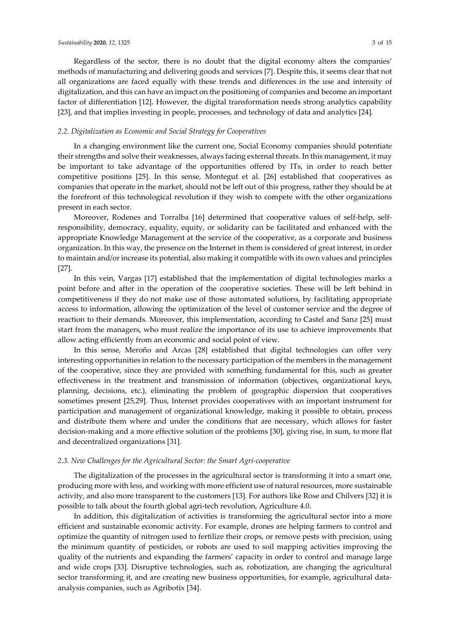Regardless of the sector, there is no doubt that the digital economy alters the companies' methods of manufacturing and delivering goods and services [7]. Despite this, it seems clear that not all organizations are faced equally with these trends and differences in the use and intensity of digitalization, and this can have an impact on the positioning of companies and become an important factor of differentiation [12]. However, the digital transformation needs strong analytics capability [23], and that implies investing in people, processes, and technology of data and analytics [24].

#### *2.2. Digitalization as Economic and Social Strategy for Cooperatives*

In a changing environment like the current one, Social Economy companies should potentiate their strengths and solve their weaknesses, always facing external threats. In this management, it may be important to take advantage of the opportunities offered by ITs, in order to reach better competitive positions [25]. In this sense, Montegut et al. [26] established that cooperatives as companies that operate in the market, should not be left out of this progress, rather they should be at the forefront of this technological revolution if they wish to compete with the other organizations present in each sector.

Moreover, Rodenes and Torralba [16] determined that cooperative values of self-help, selfresponsibility, democracy, equality, equity, or solidarity can be facilitated and enhanced with the appropriate Knowledge Management at the service of the cooperative, as a corporate and business organization. In this way, the presence on the Internet in them is considered of great interest, in order to maintain and/or increase its potential, also making it compatible with its own values and principles [27].

In this vein, Vargas [17] established that the implementation of digital technologies marks a point before and after in the operation of the cooperative societies. These will be left behind in competitiveness if they do not make use of those automated solutions, by facilitating appropriate access to information, allowing the optimization of the level of customer service and the degree of reaction to their demands. Moreover, this implementation, according to Castel and Sanz [25] must start from the managers, who must realize the importance of its use to achieve improvements that allow acting efficiently from an economic and social point of view.

In this sense, Meroño and Arcas [28] established that digital technologies can offer very interesting opportunities in relation to the necessary participation of the members in the management of the cooperative, since they are provided with something fundamental for this, such as greater effectiveness in the treatment and transmission of information (objectives, organizational keys, planning, decisions, etc.), eliminating the problem of geographic dispersion that cooperatives sometimes present [25,29]. Thus, Internet provides cooperatives with an important instrument for participation and management of organizational knowledge, making it possible to obtain, process and distribute them where and under the conditions that are necessary, which allows for faster decision‐making and a more effective solution of the problems [30], giving rise, in sum, to more flat and decentralized organizations [31].

# *2.3. New Challenges for the Agricultural Sector: the Smart Agri‐cooperative*

The digitalization of the processes in the agricultural sector is transforming it into a smart one, producing more with less, and working with more efficient use of natural resources, more sustainable activity, and also more transparent to the customers [13]. For authors like Rose and Chilvers [32] it is possible to talk about the fourth global agri‐tech revolution, Agriculture 4.0.

In addition, this digitalization of activities is transforming the agricultural sector into a more efficient and sustainable economic activity. For example, drones are helping farmers to control and optimize the quantity of nitrogen used to fertilize their crops, or remove pests with precision, using the minimum quantity of pesticides, or robots are used to soil mapping activities improving the quality of the nutrients and expanding the farmers' capacity in order to control and manage large and wide crops [33]. Disruptive technologies, such as, robotization, are changing the agricultural sector transforming it, and are creating new business opportunities, for example, agricultural dataanalysis companies, such as Agribotix [34].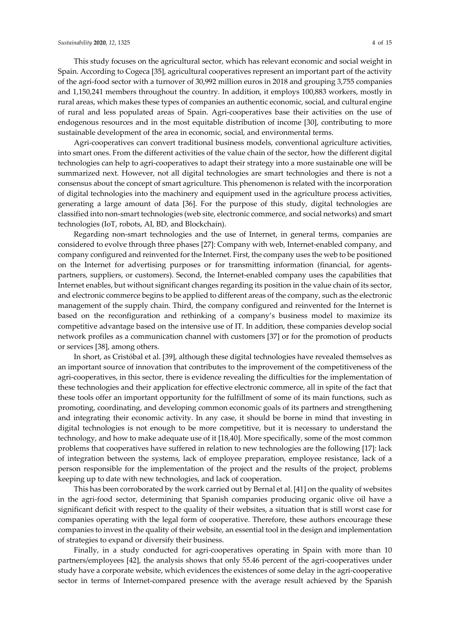This study focuses on the agricultural sector, which has relevant economic and social weight in Spain. According to Cogeca [35], agricultural cooperatives represent an important part of the activity of the agri‐food sector with a turnover of 30,992 million euros in 2018 and grouping 3,755 companies and 1,150,241 members throughout the country. In addition, it employs 100,883 workers, mostly in rural areas, which makes these types of companies an authentic economic, social, and cultural engine of rural and less populated areas of Spain. Agri‐cooperatives base their activities on the use of endogenous resources and in the most equitable distribution of income [30], contributing to more sustainable development of the area in economic, social, and environmental terms.

Agri-cooperatives can convert traditional business models, conventional agriculture activities, into smart ones. From the different activities of the value chain of the sector, how the different digital technologies can help to agri‐cooperatives to adapt their strategy into a more sustainable one will be summarized next. However, not all digital technologies are smart technologies and there is not a consensus about the concept of smart agriculture. This phenomenon is related with the incorporation of digital technologies into the machinery and equipment used in the agriculture process activities, generating a large amount of data [36]. For the purpose of this study, digital technologies are classified into non‐smart technologies (web site, electronic commerce, and social networks) and smart technologies (IoT, robots, AI, BD, and Blockchain).

Regarding non‐smart technologies and the use of Internet, in general terms, companies are considered to evolve through three phases [27]: Company with web, Internet‐enabled company, and company configured and reinvented forthe Internet. First, the company uses the web to be positioned on the Internet for advertising purposes or for transmitting information (financial, for agents‐ partners, suppliers, or customers). Second, the Internet‐enabled company uses the capabilities that Internet enables, but without significant changes regarding its position in the value chain of its sector, and electronic commerce begins to be applied to different areas of the company, such as the electronic management of the supply chain. Third, the company configured and reinvented for the Internet is based on the reconfiguration and rethinking of a company's business model to maximize its competitive advantage based on the intensive use of IT. In addition, these companies develop social network profiles as a communication channel with customers [37] or for the promotion of products or services [38], among others.

In short, as Cristóbal et al. [39], although these digital technologies have revealed themselves as an important source of innovation that contributes to the improvement of the competitiveness of the agri-cooperatives, in this sector, there is evidence revealing the difficulties for the implementation of these technologies and their application for effective electronic commerce, all in spite of the fact that these tools offer an important opportunity for the fulfillment of some of its main functions, such as promoting, coordinating, and developing common economic goals of its partners and strengthening and integrating their economic activity. In any case, it should be borne in mind that investing in digital technologies is not enough to be more competitive, but it is necessary to understand the technology, and how to make adequate use of it [18,40]. More specifically, some of the most common problems that cooperatives have suffered in relation to new technologies are the following [17]: lack of integration between the systems, lack of employee preparation, employee resistance, lack of a person responsible for the implementation of the project and the results of the project, problems keeping up to date with new technologies, and lack of cooperation.

This has been corroborated by the work carried out by Bernal et al. [41] on the quality of websites in the agri-food sector, determining that Spanish companies producing organic olive oil have a significant deficit with respect to the quality of their websites, a situation that is still worst case for companies operating with the legal form of cooperative. Therefore, these authors encourage these companies to invest in the quality of their website, an essential tool in the design and implementation of strategies to expand or diversify their business.

Finally, in a study conducted for agri-cooperatives operating in Spain with more than 10 partners/employees [42], the analysis shows that only 55.46 percent of the agri-cooperatives under study have a corporate website, which evidences the existences of some delay in the agri‐cooperative sector in terms of Internet-compared presence with the average result achieved by the Spanish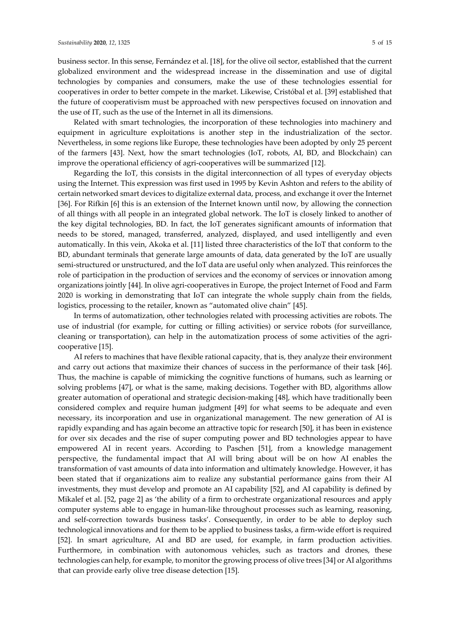business sector. In this sense, Fernández et al. [18], for the olive oil sector, established that the current globalized environment and the widespread increase in the dissemination and use of digital technologies by companies and consumers, make the use of these technologies essential for cooperatives in order to better compete in the market. Likewise, Cristóbal et al. [39] established that the future of cooperativism must be approached with new perspectives focused on innovation and the use of IT, such as the use of the Internet in all its dimensions.

Related with smart technologies, the incorporation of these technologies into machinery and equipment in agriculture exploitations is another step in the industrialization of the sector. Nevertheless, in some regions like Europe, these technologies have been adopted by only 25 percent of the farmers [43]. Next, how the smart technologies (IoT, robots, AI, BD, and Blockchain) can improve the operational efficiency of agri‐cooperatives will be summarized [12].

Regarding the IoT, this consists in the digital interconnection of all types of everyday objects using the Internet. This expression was first used in 1995 by Kevin Ashton and refers to the ability of certain networked smart devices to digitalize external data, process, and exchange it over the Internet [36]. For Rifkin [6] this is an extension of the Internet known until now, by allowing the connection of all things with all people in an integrated global network. The IoT is closely linked to another of the key digital technologies, BD. In fact, the IoT generates significant amounts of information that needs to be stored, managed, transferred, analyzed, displayed, and used intelligently and even automatically. In this vein, Akoka et al. [11] listed three characteristics of the IoT that conform to the BD, abundant terminals that generate large amounts of data, data generated by the IoT are usually semi-structured or unstructured, and the IoT data are useful only when analyzed. This reinforces the role of participation in the production of services and the economy of services or innovation among organizations jointly [44]. In olive agri‐cooperatives in Europe, the project Internet of Food and Farm 2020 is working in demonstrating that IoT can integrate the whole supply chain from the fields, logistics, processing to the retailer, known as "automated olive chain" [45].

In terms of automatization, other technologies related with processing activities are robots. The use of industrial (for example, for cutting or filling activities) or service robots (for surveillance, cleaning or transportation), can help in the automatization process of some activities of the agricooperative [15].

AI refers to machines that have flexible rational capacity, that is, they analyze their environment and carry out actions that maximize their chances of success in the performance of their task [46]. Thus, the machine is capable of mimicking the cognitive functions of humans, such as learning or solving problems [47], or what is the same, making decisions. Together with BD, algorithms allow greater automation of operational and strategic decision‐making [48], which have traditionally been considered complex and require human judgment [49] for what seems to be adequate and even necessary, its incorporation and use in organizational management. The new generation of AI is rapidly expanding and has again become an attractive topic for research [50], it has been in existence for over six decades and the rise of super computing power and BD technologies appear to have empowered AI in recent years. According to Paschen [51], from a knowledge management perspective, the fundamental impact that AI will bring about will be on how AI enables the transformation of vast amounts of data into information and ultimately knowledge. However, it has been stated that if organizations aim to realize any substantial performance gains from their AI investments, they must develop and promote an AI capability [52], and AI capability is defined by Mikalef et al. [52, page 2] as 'the ability of a firm to orchestrate organizational resources and apply computer systems able to engage in human-like throughout processes such as learning, reasoning, and self-correction towards business tasks'. Consequently, in order to be able to deploy such technological innovations and for them to be applied to business tasks, a firm‐wide effort is required [52]. In smart agriculture, AI and BD are used, for example, in farm production activities. Furthermore, in combination with autonomous vehicles, such as tractors and drones, these technologies can help, for example, to monitor the growing process of olive trees [34] or AI algorithms that can provide early olive tree disease detection [15].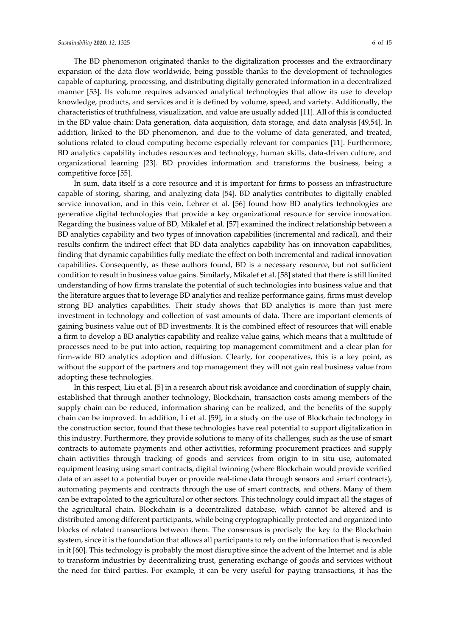The BD phenomenon originated thanks to the digitalization processes and the extraordinary expansion of the data flow worldwide, being possible thanks to the development of technologies capable of capturing, processing, and distributing digitally generated information in a decentralized manner [53]. Its volume requires advanced analytical technologies that allow its use to develop knowledge, products, and services and it is defined by volume, speed, and variety. Additionally, the characteristics of truthfulness, visualization, and value are usually added [11]. All of this is conducted in the BD value chain: Data generation, data acquisition, data storage, and data analysis [49,54]. In addition, linked to the BD phenomenon, and due to the volume of data generated, and treated, solutions related to cloud computing become especially relevant for companies [11]. Furthermore, BD analytics capability includes resources and technology, human skills, data‐driven culture, and organizational learning [23]. BD provides information and transforms the business, being a competitive force [55].

In sum, data itself is a core resource and it is important for firms to possess an infrastructure capable of storing, sharing, and analyzing data [54]. BD analytics contributes to digitally enabled service innovation, and in this vein, Lehrer et al. [56] found how BD analytics technologies are generative digital technologies that provide a key organizational resource for service innovation. Regarding the business value of BD, Mikalef et al. [57] examined the indirect relationship between a BD analytics capability and two types of innovation capabilities (incremental and radical), and their results confirm the indirect effect that BD data analytics capability has on innovation capabilities, finding that dynamic capabilities fully mediate the effect on both incremental and radical innovation capabilities. Consequently, as these authors found, BD is a necessary resource, but not sufficient condition to result in business value gains. Similarly, Mikalef et al. [58] stated that there is still limited understanding of how firms translate the potential of such technologies into business value and that the literature argues that to leverage BD analytics and realize performance gains, firms must develop strong BD analytics capabilities. Their study shows that BD analytics is more than just mere investment in technology and collection of vast amounts of data. There are important elements of gaining business value out of BD investments. It is the combined effect of resources that will enable a firm to develop a BD analytics capability and realize value gains, which means that a multitude of processes need to be put into action, requiring top management commitment and a clear plan for firm-wide BD analytics adoption and diffusion. Clearly, for cooperatives, this is a key point, as without the support of the partners and top management they will not gain real business value from adopting these technologies.

In this respect, Liu et al. [5] in a research about risk avoidance and coordination of supply chain, established that through another technology, Blockchain, transaction costs among members of the supply chain can be reduced, information sharing can be realized, and the benefits of the supply chain can be improved. In addition, Li et al. [59], in a study on the use of Blockchain technology in the construction sector, found that these technologies have real potential to support digitalization in this industry. Furthermore, they provide solutions to many of its challenges, such as the use of smart contracts to automate payments and other activities, reforming procurement practices and supply chain activities through tracking of goods and services from origin to in situ use, automated equipment leasing using smart contracts, digital twinning (where Blockchain would provide verified data of an asset to a potential buyer or provide real-time data through sensors and smart contracts), automating payments and contracts through the use of smart contracts, and others. Many of them can be extrapolated to the agricultural or other sectors. This technology could impact all the stages of the agricultural chain. Blockchain is a decentralized database, which cannot be altered and is distributed among different participants, while being cryptographically protected and organized into blocks of related transactions between them. The consensus is precisely the key to the Blockchain system, since it is the foundation that allows all participants to rely on the information that is recorded in it [60]. This technology is probably the most disruptive since the advent of the Internet and is able to transform industries by decentralizing trust, generating exchange of goods and services without the need for third parties. For example, it can be very useful for paying transactions, it has the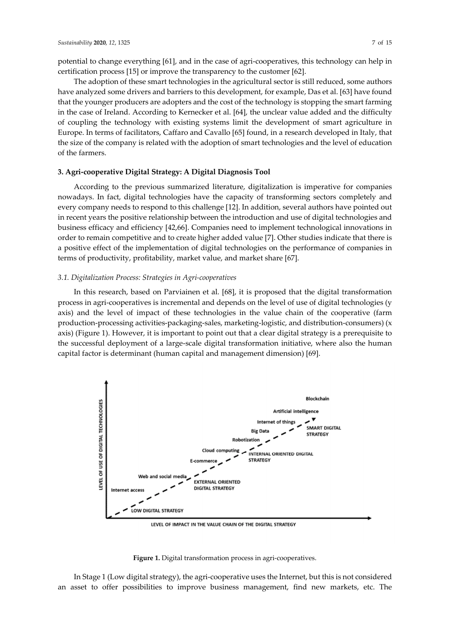potential to change everything [61], and in the case of agri‐cooperatives, this technology can help in certification process [15] or improve the transparency to the customer [62].

The adoption of these smart technologies in the agricultural sector is still reduced, some authors have analyzed some drivers and barriers to this development, for example, Das et al. [63] have found that the younger producers are adopters and the cost of the technology is stopping the smart farming in the case of Ireland. According to Kernecker et al. [64], the unclear value added and the difficulty of coupling the technology with existing systems limit the development of smart agriculture in Europe. In terms of facilitators, Caffaro and Cavallo [65] found, in a research developed in Italy, that the size of the company is related with the adoption of smart technologies and the level of education of the farmers.

#### **3. Agri‐cooperative Digital Strategy: A Digital Diagnosis Tool**

According to the previous summarized literature, digitalization is imperative for companies nowadays. In fact, digital technologies have the capacity of transforming sectors completely and every company needs to respond to this challenge [12]. In addition, several authors have pointed out in recent years the positive relationship between the introduction and use of digital technologies and business efficacy and efficiency [42,66]. Companies need to implement technological innovations in order to remain competitive and to create higher added value [7]. Other studies indicate that there is a positive effect of the implementation of digital technologies on the performance of companies in terms of productivity, profitability, market value, and market share [67].

#### *3.1. Digitalization Process: Strategies in Agri‐cooperatives*

In this research, based on Parviainen et al. [68], it is proposed that the digital transformation process in agri‐cooperatives is incremental and depends on the level of use of digital technologies (y axis) and the level of impact of these technologies in the value chain of the cooperative (farm production‐processing activities‐packaging‐sales, marketing‐logistic, and distribution‐consumers) (x axis) (Figure 1). However, it is important to point out that a clear digital strategy is a prerequisite to the successful deployment of a large‐scale digital transformation initiative, where also the human capital factor is determinant (human capital and management dimension) [69].



LEVEL OF IMPACT IN THE VALUE CHAIN OF THE DIGITAL STRATEGY

**Figure 1.** Digital transformation process in agri‐cooperatives.

In Stage 1 (Low digital strategy), the agri‐cooperative uses the Internet, but this is not considered an asset to offer possibilities to improve business management, find new markets, etc. The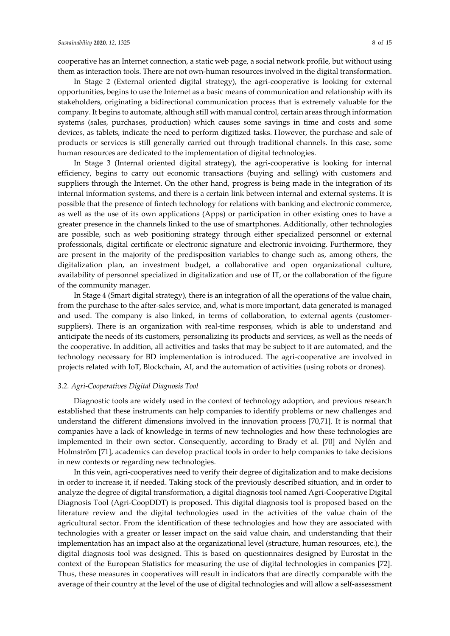cooperative has an Internet connection, a static web page, a social network profile, but without using them as interaction tools. There are not own‐human resources involved in the digital transformation.

In Stage 2 (External oriented digital strategy), the agri-cooperative is looking for external opportunities, begins to use the Internet as a basic means of communication and relationship with its stakeholders, originating a bidirectional communication process that is extremely valuable for the company. It begins to automate, although still with manual control, certain areas through information systems (sales, purchases, production) which causes some savings in time and costs and some devices, as tablets, indicate the need to perform digitized tasks. However, the purchase and sale of products or services is still generally carried out through traditional channels. In this case, some human resources are dedicated to the implementation of digital technologies.

In Stage 3 (Internal oriented digital strategy), the agri-cooperative is looking for internal efficiency, begins to carry out economic transactions (buying and selling) with customers and suppliers through the Internet. On the other hand, progress is being made in the integration of its internal information systems, and there is a certain link between internal and external systems. It is possible that the presence of fintech technology for relations with banking and electronic commerce, as well as the use of its own applications (Apps) or participation in other existing ones to have a greater presence in the channels linked to the use of smartphones. Additionally, other technologies are possible, such as web positioning strategy through either specialized personnel or external professionals, digital certificate or electronic signature and electronic invoicing. Furthermore, they are present in the majority of the predisposition variables to change such as, among others, the digitalization plan, an investment budget, a collaborative and open organizational culture, availability of personnel specialized in digitalization and use of IT, or the collaboration of the figure of the community manager.

In Stage 4 (Smart digital strategy), there is an integration of all the operations of the value chain, from the purchase to the after-sales service, and, what is more important, data generated is managed and used. The company is also linked, in terms of collaboration, to external agents (customersuppliers). There is an organization with real-time responses, which is able to understand and anticipate the needs of its customers, personalizing its products and services, as well as the needs of the cooperative. In addition, all activities and tasks that may be subject to it are automated, and the technology necessary for BD implementation is introduced. The agri‐cooperative are involved in projects related with IoT, Blockchain, AI, and the automation of activities (using robots or drones).

#### *3.2. Agri‐Cooperatives Digital Diagnosis Tool*

Diagnostic tools are widely used in the context of technology adoption, and previous research established that these instruments can help companies to identify problems or new challenges and understand the different dimensions involved in the innovation process [70,71]. It is normal that companies have a lack of knowledge in terms of new technologies and how these technologies are implemented in their own sector. Consequently, according to Brady et al. [70] and Nylén and Holmström [71], academics can develop practical tools in order to help companies to take decisions in new contexts or regarding new technologies.

In this vein, agri-cooperatives need to verify their degree of digitalization and to make decisions in order to increase it, if needed. Taking stock of the previously described situation, and in order to analyze the degree of digital transformation, a digital diagnosis tool named Agri‐Cooperative Digital Diagnosis Tool (Agri‐CoopDDT) is proposed. This digital diagnosis tool is proposed based on the literature review and the digital technologies used in the activities of the value chain of the agricultural sector. From the identification of these technologies and how they are associated with technologies with a greater or lesser impact on the said value chain, and understanding that their implementation has an impact also at the organizational level (structure, human resources, etc.), the digital diagnosis tool was designed. This is based on questionnaires designed by Eurostat in the context of the European Statistics for measuring the use of digital technologies in companies [72]. Thus, these measures in cooperatives will result in indicators that are directly comparable with the average of their country at the level of the use of digital technologies and will allow a self‐assessment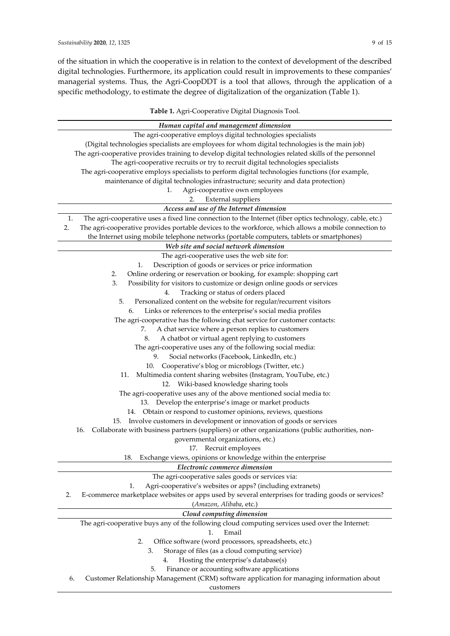of the situation in which the cooperative is in relation to the context of development of the described digital technologies. Furthermore, its application could result in improvements to these companies' managerial systems. Thus, the Agri‐CoopDDT is a tool that allows, through the application of a specific methodology, to estimate the degree of digitalization of the organization (Table 1).

| Table 1. Agri-Cooperative Digital Diagnosis Tool.                                                                                   |  |  |  |  |
|-------------------------------------------------------------------------------------------------------------------------------------|--|--|--|--|
| Human capital and management dimension                                                                                              |  |  |  |  |
| The agri-cooperative employs digital technologies specialists                                                                       |  |  |  |  |
| (Digital technologies specialists are employees for whom digital technologies is the main job)                                      |  |  |  |  |
| The agri-cooperative provides training to develop digital technologies related skills of the personnel                              |  |  |  |  |
| The agri-cooperative recruits or try to recruit digital technologies specialists                                                    |  |  |  |  |
| The agri-cooperative employs specialists to perform digital technologies functions (for example,                                    |  |  |  |  |
| maintenance of digital technologies infrastructure; security and data protection)                                                   |  |  |  |  |
| Agri-cooperative own employees<br>1.                                                                                                |  |  |  |  |
| <b>External suppliers</b><br>2.                                                                                                     |  |  |  |  |
| Access and use of the Internet dimension                                                                                            |  |  |  |  |
| 1.<br>The agri-cooperative uses a fixed line connection to the Internet (fiber optics technology, cable, etc.)                      |  |  |  |  |
| The agri-cooperative provides portable devices to the workforce, which allows a mobile connection to<br>2.                          |  |  |  |  |
| the Internet using mobile telephone networks (portable computers, tablets or smartphones)                                           |  |  |  |  |
| Web site and social network dimension                                                                                               |  |  |  |  |
| The agri-cooperative uses the web site for:                                                                                         |  |  |  |  |
| Description of goods or services or price information<br>1.                                                                         |  |  |  |  |
| Online ordering or reservation or booking, for example: shopping cart<br>2.                                                         |  |  |  |  |
| 3.<br>Possibility for visitors to customize or design online goods or services                                                      |  |  |  |  |
| Tracking or status of orders placed<br>4.                                                                                           |  |  |  |  |
| 5.<br>Personalized content on the website for regular/recurrent visitors                                                            |  |  |  |  |
| Links or references to the enterprise's social media profiles<br>6.                                                                 |  |  |  |  |
| The agri-cooperative has the following chat service for customer contacts:                                                          |  |  |  |  |
| A chat service where a person replies to customers<br>7.                                                                            |  |  |  |  |
| A chatbot or virtual agent replying to customers<br>8.                                                                              |  |  |  |  |
| The agri-cooperative uses any of the following social media:                                                                        |  |  |  |  |
| Social networks (Facebook, LinkedIn, etc.)<br>9.                                                                                    |  |  |  |  |
| 10. Cooperative's blog or microblogs (Twitter, etc.)                                                                                |  |  |  |  |
| Multimedia content sharing websites (Instagram, YouTube, etc.)<br>11.                                                               |  |  |  |  |
| Wiki-based knowledge sharing tools<br>12.                                                                                           |  |  |  |  |
| The agri-cooperative uses any of the above mentioned social media to:                                                               |  |  |  |  |
| Develop the enterprise's image or market products<br>13.                                                                            |  |  |  |  |
| 14. Obtain or respond to customer opinions, reviews, questions                                                                      |  |  |  |  |
| Involve customers in development or innovation of goods or services<br>15.                                                          |  |  |  |  |
| Collaborate with business partners (suppliers) or other organizations (public authorities, non-<br>16.                              |  |  |  |  |
| governmental organizations, etc.)                                                                                                   |  |  |  |  |
| 17. Recruit employees                                                                                                               |  |  |  |  |
| Exchange views, opinions or knowledge within the enterprise<br>18.                                                                  |  |  |  |  |
| Electronic commerce dimension                                                                                                       |  |  |  |  |
|                                                                                                                                     |  |  |  |  |
| The agri-cooperative sales goods or services via:<br>1.                                                                             |  |  |  |  |
| Agri-cooperative's websites or apps? (including extranets)                                                                          |  |  |  |  |
| E-commerce marketplace websites or apps used by several enterprises for trading goods or services?<br>2.<br>(Amazon, Alibaba, etc.) |  |  |  |  |
|                                                                                                                                     |  |  |  |  |
| Cloud computing dimension                                                                                                           |  |  |  |  |
| The agri-cooperative buys any of the following cloud computing services used over the Internet:                                     |  |  |  |  |
| Email<br>1.                                                                                                                         |  |  |  |  |
| Office software (word processors, spreadsheets, etc.)<br>2.<br>3.                                                                   |  |  |  |  |
| Storage of files (as a cloud computing service)<br>Hosting the enterprise's database(s)                                             |  |  |  |  |
| 4.                                                                                                                                  |  |  |  |  |

6. Customer Relationship Management (CRM) software application for managing information about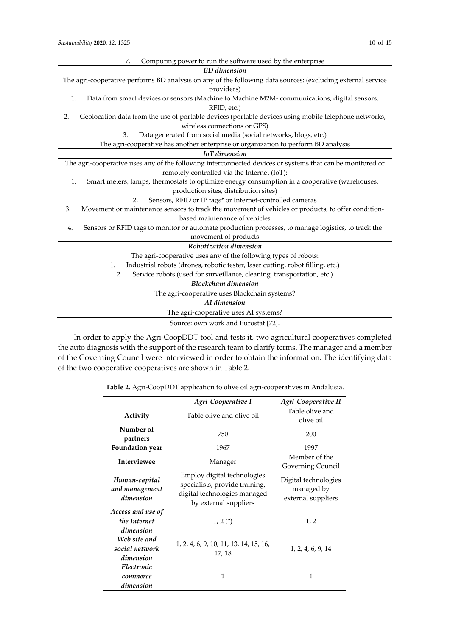| Computing power to run the software used by the enterprise<br>7.                                            |  |  |  |
|-------------------------------------------------------------------------------------------------------------|--|--|--|
| <b>BD</b> dimension                                                                                         |  |  |  |
| The agri-cooperative performs BD analysis on any of the following data sources: (excluding external service |  |  |  |
| providers)                                                                                                  |  |  |  |
| Data from smart devices or sensors (Machine to Machine M2M-communications, digital sensors,<br>1.           |  |  |  |
| RFID, etc.)                                                                                                 |  |  |  |
| Geolocation data from the use of portable devices (portable devices using mobile telephone networks,<br>2.  |  |  |  |
| wireless connections or GPS)                                                                                |  |  |  |
| Data generated from social media (social networks, blogs, etc.)<br>3.                                       |  |  |  |
| The agri-cooperative has another enterprise or organization to perform BD analysis                          |  |  |  |
| <b>IoT</b> dimension                                                                                        |  |  |  |
| The agri-cooperative uses any of the following interconnected devices or systems that can be monitored or   |  |  |  |
| remotely controlled via the Internet (IoT):                                                                 |  |  |  |
| Smart meters, lamps, thermostats to optimize energy consumption in a cooperative (warehouses,<br>1.         |  |  |  |
| production sites, distribution sites)                                                                       |  |  |  |
| Sensors, RFID or IP tags* or Internet-controlled cameras<br>2.                                              |  |  |  |
| Movement or maintenance sensors to track the movement of vehicles or products, to offer condition-<br>3.    |  |  |  |
| based maintenance of vehicles                                                                               |  |  |  |
| Sensors or RFID tags to monitor or automate production processes, to manage logistics, to track the<br>4.   |  |  |  |
| movement of products                                                                                        |  |  |  |
| Robotization dimension                                                                                      |  |  |  |
| The agri-cooperative uses any of the following types of robots:                                             |  |  |  |
| Industrial robots (drones, robotic tester, laser cutting, robot filling, etc.)<br>1.                        |  |  |  |
| Service robots (used for surveillance, cleaning, transportation, etc.)<br>2.                                |  |  |  |
| <b>Blockchain dimension</b>                                                                                 |  |  |  |
| The agri-cooperative uses Blockchain systems?                                                               |  |  |  |
| AI dimension                                                                                                |  |  |  |
| The agri-cooperative uses AI systems?                                                                       |  |  |  |
| Source: own work and Eurostat [72].                                                                         |  |  |  |

In order to apply the Agri‐CoopDDT tool and tests it, two agricultural cooperatives completed the auto diagnosis with the support of the research team to clarify terms. The manager and a member of the Governing Council were interviewed in order to obtain the information. The identifying data of the two cooperative cooperatives are shown in Table 2.

**Table 2.** Agri‐CoopDDT application to olive oil agri‐cooperatives in Andalusia.

|                                                | Agri-Cooperative I                                                                                                     | Agri-Cooperative II                                      |
|------------------------------------------------|------------------------------------------------------------------------------------------------------------------------|----------------------------------------------------------|
| Activity                                       | Table olive and olive oil                                                                                              | Table olive and<br>olive oil                             |
| Number of<br>partners                          | 750                                                                                                                    | 200                                                      |
| <b>Foundation</b> year                         | 1967                                                                                                                   | 1997                                                     |
| <b>Interviewee</b>                             | Manager                                                                                                                | Member of the<br>Governing Council                       |
| Human-capital<br>and management<br>dimension   | Employ digital technologies<br>specialists, provide training,<br>digital technologies managed<br>by external suppliers | Digital technologies<br>managed by<br>external suppliers |
| Access and use of<br>the Internet<br>dimension | $1, 2(*)$                                                                                                              | 1, 2                                                     |
| Web site and<br>social network<br>dimension    | 1, 2, 4, 6, 9, 10, 11, 13, 14, 15, 16,<br>17, 18                                                                       | 1, 2, 4, 6, 9, 14                                        |
| Electronic<br>commerce<br>dimension            | 1                                                                                                                      | 1                                                        |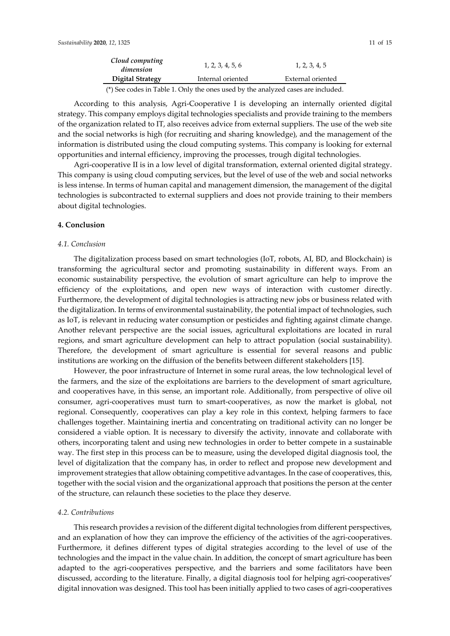| Cloud computing<br>dimension | 1, 2, 3, 4, 5, 6  | 1, 2, 3, 4, 5     |
|------------------------------|-------------------|-------------------|
| Digital Strategy             | Internal oriented | External oriented |
|                              |                   |                   |

(\*) See codes in Table 1. Only the ones used by the analyzed cases are included.

According to this analysis, Agri‐Cooperative I is developing an internally oriented digital strategy. This company employs digital technologies specialists and provide training to the members of the organization related to IT, also receives advice from external suppliers. The use of the web site and the social networks is high (for recruiting and sharing knowledge), and the management of the information is distributed using the cloud computing systems. This company is looking for external opportunities and internal efficiency, improving the processes, trough digital technologies.

Agri-cooperative II is in a low level of digital transformation, external oriented digital strategy. This company is using cloud computing services, but the level of use of the web and social networks is less intense. In terms of human capital and management dimension, the management of the digital technologies is subcontracted to external suppliers and does not provide training to their members about digital technologies.

#### **4. Conclusion**

### *4.1. Conclusion*

The digitalization process based on smart technologies (IoT, robots, AI, BD, and Blockchain) is transforming the agricultural sector and promoting sustainability in different ways. From an economic sustainability perspective, the evolution of smart agriculture can help to improve the efficiency of the exploitations, and open new ways of interaction with customer directly. Furthermore, the development of digital technologies is attracting new jobs or business related with the digitalization. In terms of environmental sustainability, the potential impact of technologies, such as IoT, is relevant in reducing water consumption or pesticides and fighting against climate change. Another relevant perspective are the social issues, agricultural exploitations are located in rural regions, and smart agriculture development can help to attract population (social sustainability). Therefore, the development of smart agriculture is essential for several reasons and public institutions are working on the diffusion of the benefits between different stakeholders [15].

However, the poor infrastructure of Internet in some rural areas, the low technological level of the farmers, and the size of the exploitations are barriers to the development of smart agriculture, and cooperatives have, in this sense, an important role. Additionally, from perspective of olive oil consumer, agri‐cooperatives must turn to smart‐cooperative*s*, as now the market is global, not regional. Consequently, cooperatives can play a key role in this context, helping farmers to face challenges together. Maintaining inertia and concentrating on traditional activity can no longer be considered a viable option. It is necessary to diversify the activity, innovate and collaborate with others, incorporating talent and using new technologies in order to better compete in a sustainable way. The first step in this process can be to measure, using the developed digital diagnosis tool, the level of digitalization that the company has, in order to reflect and propose new development and improvement strategies that allow obtaining competitive advantages. In the case of cooperatives, this, together with the social vision and the organizational approach that positions the person at the center of the structure, can relaunch these societies to the place they deserve.

#### *4.2. Contributions*

This research provides a revision of the different digital technologies from different perspectives, and an explanation of how they can improve the efficiency of the activities of the agri-cooperatives. Furthermore, it defines different types of digital strategies according to the level of use of the technologies and the impact in the value chain. In addition, the concept of smart agriculture has been adapted to the agri-cooperatives perspective, and the barriers and some facilitators have been discussed, according to the literature. Finally, a digital diagnosis tool for helping agri-cooperatives' digital innovation was designed. This tool has been initially applied to two cases of agri‐cooperatives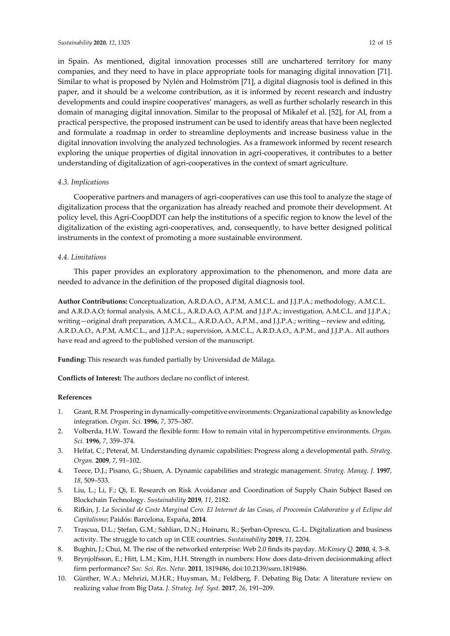in Spain. As mentioned, digital innovation processes still are unchartered territory for many companies, and they need to have in place appropriate tools for managing digital innovation [71]. Similar to what is proposed by Nylén and Holmström [71], a digital diagnosis tool is defined in this paper, and it should be a welcome contribution, as it is informed by recent research and industry developments and could inspire cooperatives' managers, as well as further scholarly research in this domain of managing digital innovation. Similar to the proposal of Mikalef et al. [52], for AI, from a practical perspective, the proposed instrument can be used to identify areas that have been neglected and formulate a roadmap in order to streamline deployments and increase business value in the digital innovation involving the analyzed technologies. As a framework informed by recent research exploring the unique properties of digital innovation in agri-cooperatives, it contributes to a better understanding of digitalization of agri‐cooperatives in the context of smart agriculture.

#### *4.3. Implications*

Cooperative partners and managers of agri‐cooperatives can use this tool to analyze the stage of digitalization process that the organization has already reached and promote their development. At policy level, this Agri‐CoopDDT can help the institutions of a specific region to know the level of the digitalization of the existing agri‐cooperatives, and, consequently, to have better designed political instruments in the context of promoting a more sustainable environment.

#### *4.4. Limitations*

This paper provides an exploratory approximation to the phenomenon, and more data are needed to advance in the definition of the proposed digital diagnosis tool.

**Author Contributions:** Conceptualization, A.R.D.A.O., A.P.M, A.M.C.L. and J.J.P.A.; methodology, A.M.C.L. and A.R.D.A.O; formal analysis, A.M.C.L., A.R.D.A.O, A.P.M. and J.J.P.A.; investigation, A.M.C.L. and J.J.P.A.; writing—original draft preparation, A.M.C.L., A.R.D.A.O., A.P.M., and J.J.P.A.; writing—review and editing, A.R.D.A.O., A.P.M, A.M.C.L., and J.J.P.A.; supervision, A.M.C.L., A.R.D.A.O., A.P.M., and J.J.P.A.. All authors have read and agreed to the published version of the manuscript.

**Funding:** This research was funded partially by Universidad de Málaga.

**Conflicts of Interest:** The authors declare no conflict of interest.

#### **References**

- 1. Grant, R.M. Prospering in dynamically‐competitive environments: Organizational capability as knowledge integration. *Organ. Sci.* **1996**, *7*, 375–387.
- 2. Volberda, H.W. Toward the flexible form: How to remain vital in hypercompetitive environments. *Organ. Sci.* **1996**, *7*, 359–374.
- 3. Helfat, C.; Peteraf, M. Understanding dynamic capabilities: Progress along a developmental path. *Strateg. Organ.* **2009**, *7*, 91–102.
- 4. Teece, D.J.; Pisano, G.; Shuen, A. Dynamic capabilities and strategic management. *Strateg. Manag. J.* **1997**, *18*, 509–533.
- 5. Liu, L.; Li, F.; Qi, E. Research on Risk Avoidance and Coordination of Supply Chain Subject Based on Blockchain Technology. *Sustainability* **2019**, *11*, 2182.
- 6. Rifkin, J. La Sociedad de Coste Marginal Cero. El Internet de las Cosas, el Procomún Colaborativo y el Eclipse del *Capitalismo*; Paidós: Barcelona, España, **2014**.
- 7. Trașcua, D.L.; Ștefan, G.M.; Sahlian, D.N.; Hoinaru, R.; Șerban‐Oprescu, G.‐L. Digitalization and business activity. The struggle to catch up in CEE countries. *Sustainability* **2019**, *11*, 2204.
- 8. Bughin, J.; Chui, M. The rise of the networked enterprise: Web 2.0 finds its payday. *McKinsey Q.* **2010**, *4*, 3–8.
- 9. Brynjolfsson, E.; Hitt, L.M.; Kim, H.H. Strength in numbers: How does data‐driven decisionmaking affect firm performance? *Soc. Sci. Res. Netw.* **2011**, 1819486, doi:10.2139/ssrn.1819486.
- 10. Günther, W.A.; Mehrizi, M.H.R.; Huysman, M.; Feldberg, F. Debating Big Data: A literature review on realizing value from Big Data. *J. Strateg. Inf. Syst.* **2017**, *26*, 191–209.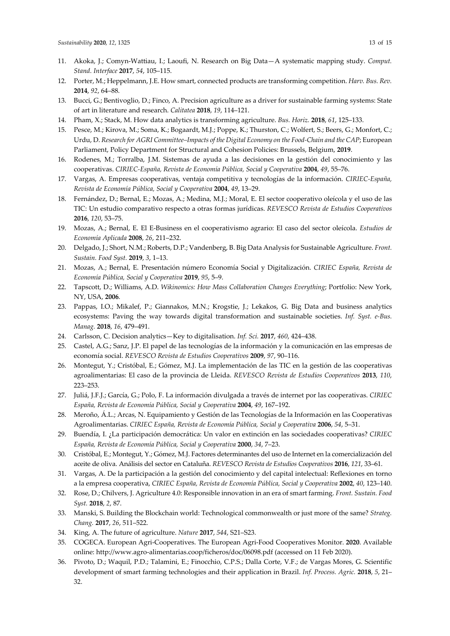- 11. Akoka, J.; Comyn‐Wattiau, I.; Laoufi, N. Research on Big Data—A systematic mapping study. *Comput. Stand. Interface* **2017**, *54*, 105–115.
- 12. Porter, M.; Heppelmann, J.E. How smart, connected products are transforming competition. *Harv. Bus. Rev.* **2014**, *92*, 64–88.
- 13. Bucci, G.; Bentivoglio, D.; Finco, A. Precision agriculture as a driver for sustainable farming systems: State of art in literature and research. *Calitatea* **2018**, *19*, 114–121.
- 14. Pham, X.; Stack, M. How data analytics is transforming agriculture. *Bus. Horiz.* **2018**, *61*, 125–133.
- 15. Pesce, M.; Kirova, M.; Soma, K.; Bogaardt, M.J.; Poppe, K.; Thurston, C.; Wolfert, S.; Beers, G.; Monfort, C.; Urdu, D. *Research for AGRI Committee–Impacts of the Digital Economy on the Food‐Chain and the CAP*; European Parliament, Policy Department for Structural and Cohesion Policies: Brussels, Belgium, **2019**.
- 16. Rodenes, M.; Torralba, J.M. Sistemas de ayuda a las decisiones en la gestión del conocimiento y las cooperativas. *CIRIEC‐España, Revista de Economía Pública, Social y Cooperativa* **2004**, *49*, 55–76.
- 17. Vargas, A. Empresas cooperativas, ventaja competitiva y tecnologías de la información. *CIRIEC‐España, Revista de Economía Pública, Social y Cooperativa* **2004**, *49*, 13–29.
- 18. Fernández, D.; Bernal, E.; Mozas, A.; Medina, M.J.; Moral, E. El sector cooperativo oleícola y el uso de las TIC: Un estudio comparativo respecto a otras formas jurídicas. *REVESCO Revista de Estudios Cooperativos* **2016**, *120*, 53–75.
- 19. Mozas, A.; Bernal, E. El E‐Business en el cooperativismo agrario: El caso del sector oleícola. *Estudios de Economía Aplicada* **2008**, *26*, 211–232.
- 20. Delgado, J.; Short, N.M.; Roberts, D.P.; Vandenberg, B. Big Data Analysis for Sustainable Agriculture. *Front. Sustain. Food Syst.* **2019**, *3*, 1–13.
- 21. Mozas, A.; Bernal, E. Presentación número Economía Social y Digitalización. *CIRIEC España, Revista de Economía Pública, Social y Cooperativa* **2019**, *95*, 5–9.
- 22. Tapscott, D.; Williams, A.D. *Wikinomics: How Mass Collaboration Changes Everything*; Portfolio: New York, NY, USA, **2006**.
- 23. Pappas, I.O.; Mikalef, P.; Giannakos, M.N.; Krogstie, J.; Lekakos, G. Big Data and business analytics ecosystems: Paving the way towards digital transformation and sustainable societies. *Inf. Syst. e‐Bus. Manag.* **2018**, *16*, 479–491.
- 24. Carlsson, C. Decision analytics—Key to digitalisation. *Inf. Sci.* **2017**, *460*, 424–438.
- 25. Castel, A.G.; Sanz, J.P. El papel de las tecnologías de la información y la comunicación en las empresas de economía social. *REVESCO Revista de Estudios Cooperativos* **2009**, *97*, 90–116.
- 26. Montegut, Y.; Cristóbal, E.; Gómez, M.J. La implementación de las TIC en la gestión de las cooperativas agroalimentarias: El caso de la provincia de Lleida. *REVESCO Revista de Estudios Cooperativos* **2013**, *110*, 223–253.
- 27. Juliá, J.F.J.; García, G.; Polo, F. La información divulgada a través de internet por las cooperativas. *CIRIEC España, Revista de Economía Pública, Social y Cooperativa* **2004**, *49*, 167–192.
- 28. Meroño, Á.L.; Arcas, N. Equipamiento y Gestión de las Tecnologías de la Información en las Cooperativas Agroalimentarias. *CIRIEC España, Revista de Economía Pública, Social y Cooperativa* **2006**, *54*, 5–31.
- 29. Buendía, I. ¿La participación democrática: Un valor en extinción en las sociedades cooperativas? *CIRIEC España, Revista de Economía Pública, Social y Cooperativa* **2000**, *34*, 7–23.
- 30. Cristóbal, E.; Montegut, Y.; Gómez, M.J. Factores determinantes del uso de Internet en la comercialización del aceite de oliva. Análisis del sector en Cataluña. *REVESCO Revista de Estudios Cooperativos* **2016**, *121*, 33–61.
- 31. Vargas, A. De la participación a la gestión del conocimiento y del capital intelectual: Reflexiones en torno a la empresa cooperativa, *CIRIEC España, Revista de Economía Pública, Social y Cooperativa* **2002**, *40*, 123–140.
- 32. Rose, D.; Chilvers, J. Agriculture 4.0: Responsible innovation in an era of smart farming. *Front. Sustain. Food Syst.* **2018**, *2*, 87.
- 33. Manski, S. Building the Blockchain world: Technological commonwealth or just more of the same? *Strateg. Chang.* **2017**, *26*, 511–522.
- 34. King, A. The future of agriculture. *Nature* **2017**, *544*, S21–S23.
- 35. COGECA. European Agri‐Cooperatives. The European Agri‐Food Cooperatives Monitor. **2020**. Available online: http://www.agro‐alimentarias.coop/ficheros/doc/06098.pdf (accessed on 11 Feb 2020).
- 36. Pivoto, D.; Waquil, P.D.; Talamini, E.; Finocchio, C.P.S.; Dalla Corte, V.F.; de Vargas Mores, G. Scientific development of smart farming technologies and their application in Brazil. *Inf. Process. Agric.* **2018**, *5*, 21– 32.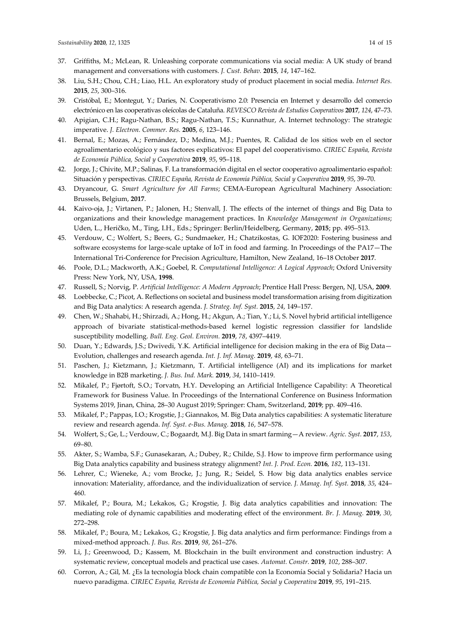- 37. Griffiths, M.; McLean, R. Unleashing corporate communications via social media: A UK study of brand management and conversations with customers. *J. Cust. Behav.* **2015**, *14*, 147–162.
- 38. Liu, S.H.; Chou, C.H.; Liao, H.L. An exploratory study of product placement in social media. *Internet Res.* **2015**, *25*, 300–316.
- 39. Cristóbal, E.; Montegut, Y.; Daries, N. Cooperativismo 2.0: Presencia en Internet y desarrollo del comercio electrónico en las cooperativas oleícolas de Cataluña. *REVESCO Revista de Estudios Cooperativos* **2017**, *124*, 47–73.
- 40. Apigian, C.H.; Ragu‐Nathan, B.S.; Ragu‐Nathan, T.S.; Kunnathur, A. Internet technology: The strategic imperative. *J. Electron. Commer. Res.* **2005**, *6*, 123–146.
- 41. Bernal, E.; Mozas, A.; Fernández, D.; Medina, M.J.; Puentes, R. Calidad de los sitios web en el sector agroalimentario ecológico y sus factores explicativos: El papel del cooperativismo. *CIRIEC España, Revista de Economía Pública, Social y Cooperativa* **2019**, *95*, 95–118.
- 42. Jorge, J.; Chivite, M.P.; Salinas, F. La transformación digital en el sector cooperativo agroalimentario español: Situación y perspectivas. *CIRIEC España, Revista de Economía Pública, Social y Cooperativa* **2019**, *95*, 39–70.
- 43. Dryancour, G. *Smart Agriculture for All Farms*; CEMA‐European Agricultural Machinery Association: Brussels, Belgium, **2017**.
- 44. Kaivo‐oja, J.; Virtanen, P.; Jalonen, H.; Stenvall, J. The effects of the internet of things and Big Data to organizations and their knowledge management practices. In *Knowledge Management in Organizations*; Uden, L., Heričko, M., Ting, I.H., Eds.; Springer: Berlin/Heidelberg, Germany, **2015**; pp. 495–513.
- 45. Verdouw, C.; Wolfert, S.; Beers, G.; Sundmaeker, H.; Chatzikostas, G. IOF2020: Fostering business and software ecosystems for large‐scale uptake of IoT in food and farming. In Proceedings of the PA17—The International Tri‐Conference for Precision Agriculture, Hamilton, New Zealand, 16–18 October **2017**.
- 46. Poole, D.L.; Mackworth, A.K.; Goebel, R. *Computational Intelligence: A Logical Approach*; Oxford University Press: New York, NY, USA, **1998**.
- 47. Russell, S.; Norvig, P. *Artificial Intelligence: A Modern Approach*; Prentice Hall Press: Bergen, NJ, USA, **2009**.
- 48. Loebbecke, C.; Picot, A. Reflections on societal and business model transformation arising from digitization and Big Data analytics: A research agenda. *J. Strateg. Inf. Syst.* **2015**, *24*, 149–157.
- 49. Chen, W.; Shahabi, H.; Shirzadi, A.; Hong, H.; Akgun, A.; Tian, Y.; Li, S. Novel hybrid artificial intelligence approach of bivariate statistical‐methods‐based kernel logistic regression classifier for landslide susceptibility modelling. *Bull. Eng. Geol. Environ.* **2019**, *78*, 4397–4419.
- 50. Duan, Y.; Edwards, J.S.; Dwivedi, Y.K. Artificial intelligence for decision making in the era of Big Data— Evolution, challenges and research agenda. *Int. J. Inf. Manag.* **2019**, *48*, 63–71.
- 51. Paschen, J.; Kietzmann, J.; Kietzmann, T. Artificial intelligence (AI) and its implications for market knowledge in B2B marketing. *J. Bus. Ind. Mark.* **2019**, *34*, 1410–1419.
- 52. Mikalef, P.; Fjørtoft, S.O.; Torvatn, H.Y. Developing an Artificial Intelligence Capability: A Theoretical Framework for Business Value. In Proceedings of the International Conference on Business Information Systems 2019, Jinan, China, 28–30 August 2019; Springer: Cham, Switzerland, **2019**; pp. 409–416.
- 53. Mikalef, P.; Pappas, I.O.; Krogstie, J.; Giannakos, M. Big Data analytics capabilities: A systematic literature review and research agenda. *Inf. Syst. e‐Bus. Manag.* **2018**, *16*, 547–578.
- 54. Wolfert, S.; Ge, L.; Verdouw, C.; Bogaardt, M.J. Big Data in smart farming—A review. *Agric. Syst.* **2017**, *153*, 69–80.
- 55. Akter, S.; Wamba, S.F.; Gunasekaran, A.; Dubey, R.; Childe, S.J. How to improve firm performance using Big Data analytics capability and business strategy alignment? *Int. J. Prod. Econ.* **2016**, *182*, 113–131.
- 56. Lehrer, C.; Wieneke, A.; vom Brocke, J.; Jung, R.; Seidel, S. How big data analytics enables service innovation: Materiality, affordance, and the individualization of service. *J. Manag. Inf. Syst.* **2018**, *35*, 424– 460.
- 57. Mikalef, P.; Boura, M.; Lekakos, G.; Krogstie, J. Big data analytics capabilities and innovation: The mediating role of dynamic capabilities and moderating effect of the environment. *Br. J. Manag.* **2019**, *30*, 272–298.
- 58. Mikalef, P.; Boura, M.; Lekakos, G.; Krogstie, J. Big data analytics and firm performance: Findings from a mixed‐method approach. *J. Bus. Res.* **2019**, *98*, 261–276.
- 59. Li, J.; Greenwood, D.; Kassem, M. Blockchain in the built environment and construction industry: A systematic review, conceptual models and practical use cases. *Automat. Constr.* **2019**, *102*, 288–307.
- 60. Corron, A.; Gil, M. ¿Es la tecnología block chain compatible con la Economía Social y Solidaria? Hacia un nuevo paradigma. *CIRIEC España, Revista de Economía Pública, Social y Cooperativa* **2019**, *95*, 191–215.